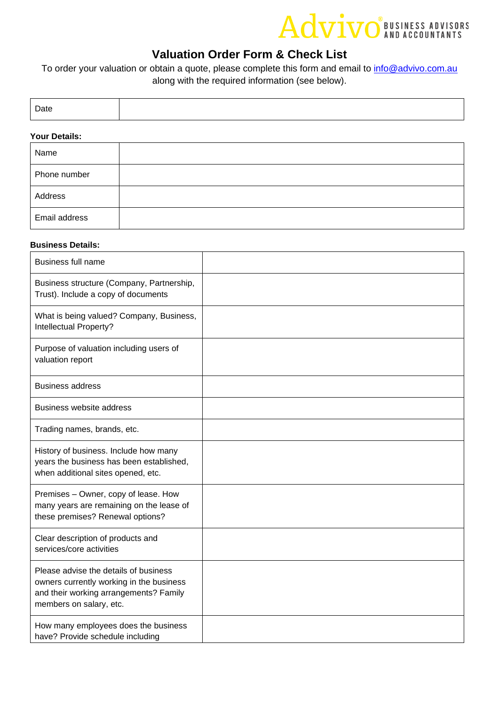# Advivo BUSINESS ADVISORS

### **Valuation Order Form & Check List**

To order your valuation or obtain a quote, please complete this form and email to *info@advivo.com.au* along with the required information (see below).

| Date |  |
|------|--|
|      |  |

#### **Your Details:**

| Name          |  |
|---------------|--|
| Phone number  |  |
| Address       |  |
| Email address |  |

### **Business Details:**

| <b>Business full name</b>                                                                                                                              |  |
|--------------------------------------------------------------------------------------------------------------------------------------------------------|--|
| Business structure (Company, Partnership,<br>Trust). Include a copy of documents                                                                       |  |
| What is being valued? Company, Business,<br>Intellectual Property?                                                                                     |  |
| Purpose of valuation including users of<br>valuation report                                                                                            |  |
| <b>Business address</b>                                                                                                                                |  |
| <b>Business website address</b>                                                                                                                        |  |
| Trading names, brands, etc.                                                                                                                            |  |
| History of business. Include how many<br>years the business has been established,<br>when additional sites opened, etc.                                |  |
| Premises - Owner, copy of lease. How<br>many years are remaining on the lease of<br>these premises? Renewal options?                                   |  |
| Clear description of products and<br>services/core activities                                                                                          |  |
| Please advise the details of business<br>owners currently working in the business<br>and their working arrangements? Family<br>members on salary, etc. |  |
| How many employees does the business<br>have? Provide schedule including                                                                               |  |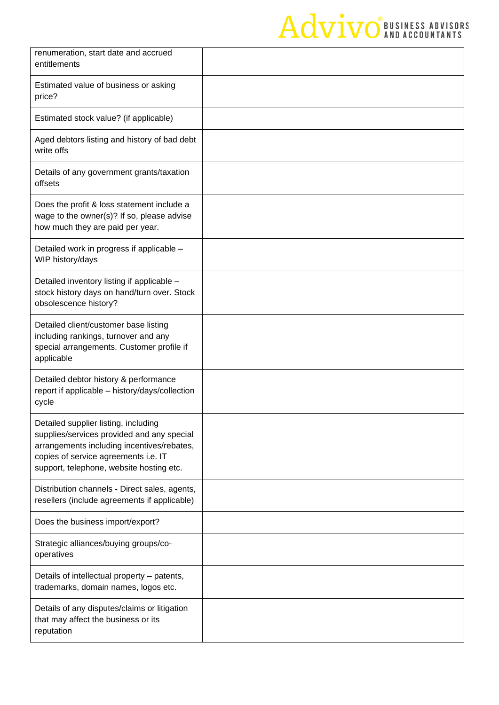# Advivo<sup>Business</sup> ADVISORS

| renumeration, start date and accrued<br>entitlements                                                                                                                                                                 |  |
|----------------------------------------------------------------------------------------------------------------------------------------------------------------------------------------------------------------------|--|
| Estimated value of business or asking<br>price?                                                                                                                                                                      |  |
| Estimated stock value? (if applicable)                                                                                                                                                                               |  |
| Aged debtors listing and history of bad debt<br>write offs                                                                                                                                                           |  |
| Details of any government grants/taxation<br>offsets                                                                                                                                                                 |  |
| Does the profit & loss statement include a<br>wage to the owner(s)? If so, please advise<br>how much they are paid per year.                                                                                         |  |
| Detailed work in progress if applicable -<br>WIP history/days                                                                                                                                                        |  |
| Detailed inventory listing if applicable -<br>stock history days on hand/turn over. Stock<br>obsolescence history?                                                                                                   |  |
| Detailed client/customer base listing<br>including rankings, turnover and any<br>special arrangements. Customer profile if<br>applicable                                                                             |  |
| Detailed debtor history & performance<br>report if applicable - history/days/collection<br>cycle                                                                                                                     |  |
| Detailed supplier listing, including<br>supplies/services provided and any special<br>arrangements including incentives/rebates,<br>copies of service agreements i.e. IT<br>support, telephone, website hosting etc. |  |
| Distribution channels - Direct sales, agents,<br>resellers (include agreements if applicable)                                                                                                                        |  |
| Does the business import/export?                                                                                                                                                                                     |  |
| Strategic alliances/buying groups/co-<br>operatives                                                                                                                                                                  |  |
| Details of intellectual property - patents,<br>trademarks, domain names, logos etc.                                                                                                                                  |  |
| Details of any disputes/claims or litigation<br>that may affect the business or its<br>reputation                                                                                                                    |  |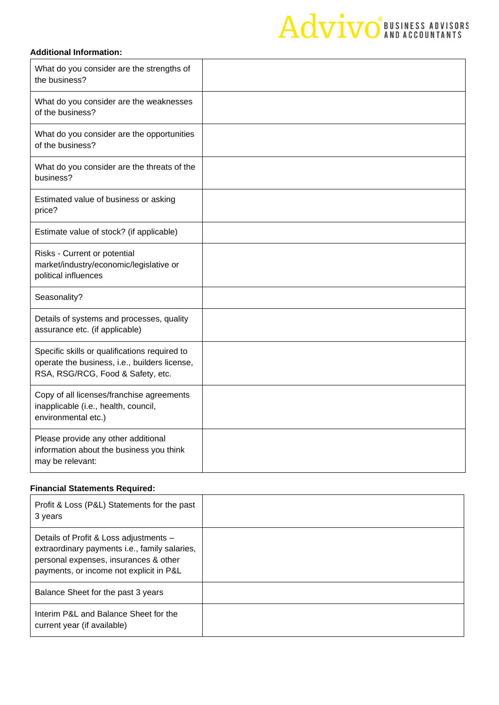## Advivo<sup>BUSINESS ADVISORS</sup>

### **Additional Information:**

| What do you consider are the strengths of<br>the business?                                                                          |  |
|-------------------------------------------------------------------------------------------------------------------------------------|--|
| What do you consider are the weaknesses<br>of the business?                                                                         |  |
| What do you consider are the opportunities<br>of the business?                                                                      |  |
| What do you consider are the threats of the<br>business?                                                                            |  |
| Estimated value of business or asking<br>price?                                                                                     |  |
| Estimate value of stock? (if applicable)                                                                                            |  |
| Risks - Current or potential<br>market/industry/economic/legislative or<br>political influences                                     |  |
| Seasonality?                                                                                                                        |  |
| Details of systems and processes, quality<br>assurance etc. (if applicable)                                                         |  |
| Specific skills or qualifications required to<br>operate the business, i.e., builders license,<br>RSA, RSG/RCG, Food & Safety, etc. |  |
| Copy of all licenses/franchise agreements<br>inapplicable (i.e., health, council,<br>environmental etc.)                            |  |
| Please provide any other additional<br>information about the business you think<br>may be relevant:                                 |  |

### **Financial Statements Required:**

| Profit & Loss (P&L) Statements for the past<br>3 years                                                                                                                      |  |
|-----------------------------------------------------------------------------------------------------------------------------------------------------------------------------|--|
| Details of Profit & Loss adjustments -<br>extraordinary payments i.e., family salaries,<br>personal expenses, insurances & other<br>payments, or income not explicit in P&L |  |
| Balance Sheet for the past 3 years                                                                                                                                          |  |
| Interim P&L and Balance Sheet for the<br>current year (if available)                                                                                                        |  |